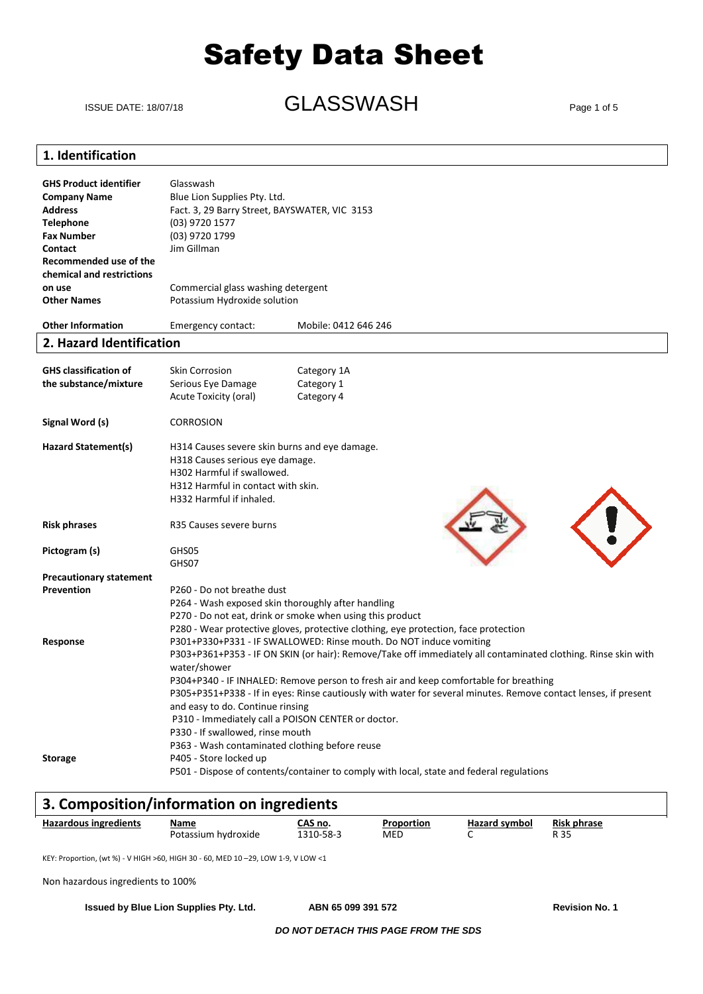ISSUE DATE: 18/07/18 **GLASSWASH** Page 1 of 5

### **1. Identification**

| <b>GHS Product identifier</b><br><b>Company Name</b><br><b>Address</b><br><b>Telephone</b><br><b>Fax Number</b><br>Contact<br>Recommended use of the<br>chemical and restrictions<br>on use<br><b>Other Names</b> | Glasswash<br>Blue Lion Supplies Pty. Ltd.<br>Fact. 3, 29 Barry Street, BAYSWATER, VIC 3153<br>(03) 9720 1577<br>(03) 9720 1799<br>Jim Gillman<br>Commercial glass washing detergent<br>Potassium Hydroxide solution |                                                                                                                                                                                                                                                                                                                                                                                                 |
|-------------------------------------------------------------------------------------------------------------------------------------------------------------------------------------------------------------------|---------------------------------------------------------------------------------------------------------------------------------------------------------------------------------------------------------------------|-------------------------------------------------------------------------------------------------------------------------------------------------------------------------------------------------------------------------------------------------------------------------------------------------------------------------------------------------------------------------------------------------|
| <b>Other Information</b>                                                                                                                                                                                          | Emergency contact:                                                                                                                                                                                                  | Mobile: 0412 646 246                                                                                                                                                                                                                                                                                                                                                                            |
| 2. Hazard Identification                                                                                                                                                                                          |                                                                                                                                                                                                                     |                                                                                                                                                                                                                                                                                                                                                                                                 |
| <b>GHS classification of</b><br>the substance/mixture                                                                                                                                                             | <b>Skin Corrosion</b><br>Serious Eye Damage<br>Acute Toxicity (oral)                                                                                                                                                | Category 1A<br>Category 1<br>Category 4                                                                                                                                                                                                                                                                                                                                                         |
| Signal Word (s)                                                                                                                                                                                                   | <b>CORROSION</b>                                                                                                                                                                                                    |                                                                                                                                                                                                                                                                                                                                                                                                 |
| <b>Hazard Statement(s)</b>                                                                                                                                                                                        | H314 Causes severe skin burns and eye damage.<br>H318 Causes serious eye damage.<br>H302 Harmful if swallowed.<br>H312 Harmful in contact with skin.<br>H332 Harmful if inhaled.                                    |                                                                                                                                                                                                                                                                                                                                                                                                 |
| <b>Risk phrases</b>                                                                                                                                                                                               | R35 Causes severe burns                                                                                                                                                                                             |                                                                                                                                                                                                                                                                                                                                                                                                 |
| Pictogram (s)                                                                                                                                                                                                     | GHS05<br>GHS07                                                                                                                                                                                                      |                                                                                                                                                                                                                                                                                                                                                                                                 |
| <b>Precautionary statement</b>                                                                                                                                                                                    |                                                                                                                                                                                                                     |                                                                                                                                                                                                                                                                                                                                                                                                 |
| Prevention                                                                                                                                                                                                        | P260 - Do not breathe dust<br>P264 - Wash exposed skin thoroughly after handling                                                                                                                                    | P270 - Do not eat, drink or smoke when using this product<br>P280 - Wear protective gloves, protective clothing, eye protection, face protection                                                                                                                                                                                                                                                |
| Response                                                                                                                                                                                                          | water/shower<br>and easy to do. Continue rinsing<br>P310 - Immediately call a POISON CENTER or doctor.<br>P330 - If swallowed, rinse mouth<br>P363 - Wash contaminated clothing before reuse                        | P301+P330+P331 - IF SWALLOWED: Rinse mouth. Do NOT induce vomiting<br>P303+P361+P353 - IF ON SKIN (or hair): Remove/Take off immediately all contaminated clothing. Rinse skin with<br>P304+P340 - IF INHALED: Remove person to fresh air and keep comfortable for breathing<br>P305+P351+P338 - If in eyes: Rinse cautiously with water for several minutes. Remove contact lenses, if present |
| <b>Storage</b>                                                                                                                                                                                                    | P405 - Store locked up                                                                                                                                                                                              | P501 - Dispose of contents/container to comply with local, state and federal regulations                                                                                                                                                                                                                                                                                                        |

### **3. Composition/information on ingredients**

| <b>Hazardous ingredients</b> | Name                   | .AS no.       | Proportion | <b>Hazard symbol</b> | <b>Risk phrase</b> |
|------------------------------|------------------------|---------------|------------|----------------------|--------------------|
|                              | Potassium<br>hvdroxide | 210000<br>78- | MED        |                      | י ה<br>. J -       |

KEY: Proportion, (wt %) - V HIGH >60, HIGH 30 - 60, MED 10 –29, LOW 1-9, V LOW <1

Non hazardous ingredients to 100%

**Issued by Blue Lion Supplies Pty. Ltd. ABN 65 099 391 572 Revision No. 1**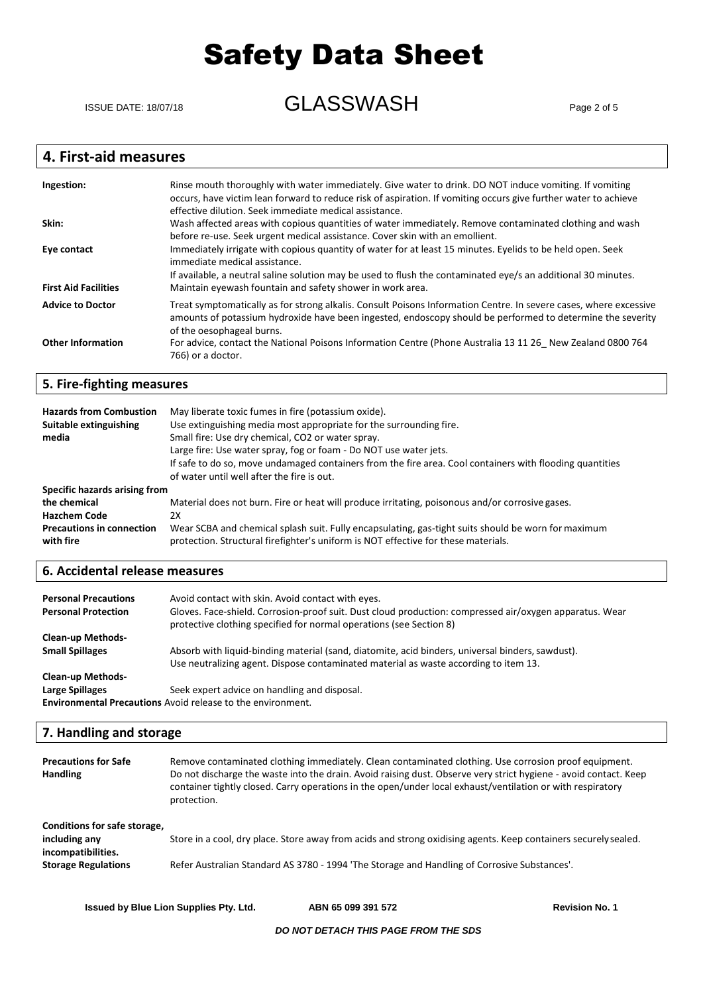ISSUE DATE: 18/07/18 **GLASSWASH** Page 2 of 5

### **4. First-aid measures**

| Ingestion:                  | Rinse mouth thoroughly with water immediately. Give water to drink. DO NOT induce vomiting. If vomiting<br>occurs, have victim lean forward to reduce risk of aspiration. If vomiting occurs give further water to achieve<br>effective dilution. Seek immediate medical assistance. |
|-----------------------------|--------------------------------------------------------------------------------------------------------------------------------------------------------------------------------------------------------------------------------------------------------------------------------------|
| Skin:                       | Wash affected areas with copious quantities of water immediately. Remove contaminated clothing and wash<br>before re-use. Seek urgent medical assistance. Cover skin with an emollient.                                                                                              |
| Eye contact                 | Immediately irrigate with copious quantity of water for at least 15 minutes. Eyelids to be held open. Seek<br>immediate medical assistance.<br>If available, a neutral saline solution may be used to flush the contaminated eye/s an additional 30 minutes.                         |
| <b>First Aid Facilities</b> | Maintain eyewash fountain and safety shower in work area.                                                                                                                                                                                                                            |
| <b>Advice to Doctor</b>     | Treat symptomatically as for strong alkalis. Consult Poisons Information Centre. In severe cases, where excessive<br>amounts of potassium hydroxide have been ingested, endoscopy should be performed to determine the severity<br>of the oesophageal burns.                         |
| <b>Other Information</b>    | For advice, contact the National Poisons Information Centre (Phone Australia 13 11 26 New Zealand 0800 764<br>766) or a doctor.                                                                                                                                                      |

### **5. Fire-fighting measures**

| <b>Hazards from Combustion</b><br>Suitable extinguishing<br>media                                                     | May liberate toxic fumes in fire (potassium oxide).<br>Use extinguishing media most appropriate for the surrounding fire.<br>Small fire: Use dry chemical, CO2 or water spray.<br>Large fire: Use water spray, fog or foam - Do NOT use water jets.<br>If safe to do so, move undamaged containers from the fire area. Cool containers with flooding quantities<br>of water until well after the fire is out. |
|-----------------------------------------------------------------------------------------------------------------------|---------------------------------------------------------------------------------------------------------------------------------------------------------------------------------------------------------------------------------------------------------------------------------------------------------------------------------------------------------------------------------------------------------------|
| Specific hazards arising from<br>the chemical<br><b>Hazchem Code</b><br><b>Precautions in connection</b><br>with fire | Material does not burn. Fire or heat will produce irritating, poisonous and/or corrosive gases.<br>2X<br>Wear SCBA and chemical splash suit. Fully encapsulating, gas-tight suits should be worn for maximum<br>protection. Structural firefighter's uniform is NOT effective for these materials.                                                                                                            |

### **6. Accidental release measures**

| <b>Personal Precautions</b><br><b>Personal Protection</b>          | Avoid contact with skin. Avoid contact with eyes.<br>Gloves. Face-shield. Corrosion-proof suit. Dust cloud production: compressed air/oxygen apparatus. Wear<br>protective clothing specified for normal operations (see Section 8) |  |
|--------------------------------------------------------------------|-------------------------------------------------------------------------------------------------------------------------------------------------------------------------------------------------------------------------------------|--|
| <b>Clean-up Methods-</b>                                           |                                                                                                                                                                                                                                     |  |
| <b>Small Spillages</b>                                             | Absorb with liquid-binding material (sand, diatomite, acid binders, universal binders, sawdust).                                                                                                                                    |  |
|                                                                    | Use neutralizing agent. Dispose contaminated material as waste according to item 13.                                                                                                                                                |  |
| <b>Clean-up Methods-</b>                                           |                                                                                                                                                                                                                                     |  |
| Large Spillages                                                    | Seek expert advice on handling and disposal.                                                                                                                                                                                        |  |
| <b>Environmental Precautions</b> Avoid release to the environment. |                                                                                                                                                                                                                                     |  |

### **7. Handling and storage**

| <b>Precautions for Safe</b><br><b>Handling</b>                                                    | Remove contaminated clothing immediately. Clean contaminated clothing. Use corrosion proof equipment.<br>Do not discharge the waste into the drain. Avoid raising dust. Observe very strict hygiene - avoid contact. Keep<br>container tightly closed. Carry operations in the open/under local exhaust/ventilation or with respiratory<br>protection. |
|---------------------------------------------------------------------------------------------------|--------------------------------------------------------------------------------------------------------------------------------------------------------------------------------------------------------------------------------------------------------------------------------------------------------------------------------------------------------|
| Conditions for safe storage,<br>including any<br>incompatibilities.<br><b>Storage Regulations</b> | Store in a cool, dry place. Store away from acids and strong oxidising agents. Keep containers securely sealed.<br>Refer Australian Standard AS 3780 - 1994 'The Storage and Handling of Corrosive Substances'.                                                                                                                                        |

**Issued by Blue Lion Supplies Pty. Ltd. ABN 65 099 391 572 Revision No. 1**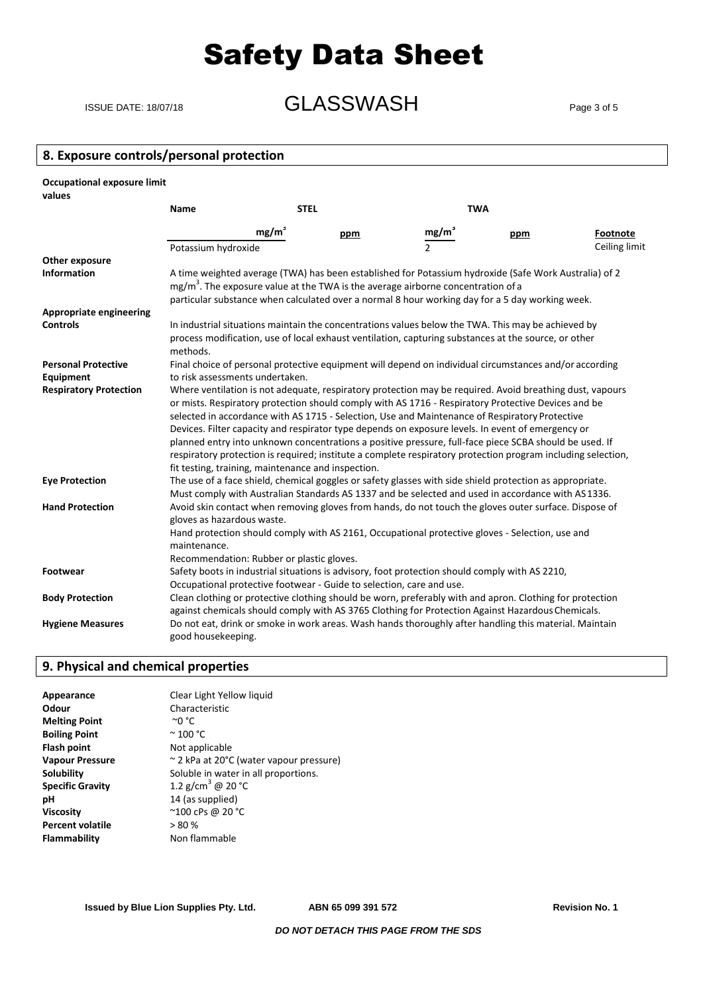### ISSUE DATE: 18/07/18 **GLASSWASH** Page 3 of 5

### **8. Exposure controls/personal protection**

| Occupational exposure limit<br>values |                                                                                                                                                                                                                                                                                                                                                                                                                                                                                                                                                                                                                                                                                                        |                                                                                                                                                                                                                                                                                                          |     |                   |     |                 |
|---------------------------------------|--------------------------------------------------------------------------------------------------------------------------------------------------------------------------------------------------------------------------------------------------------------------------------------------------------------------------------------------------------------------------------------------------------------------------------------------------------------------------------------------------------------------------------------------------------------------------------------------------------------------------------------------------------------------------------------------------------|----------------------------------------------------------------------------------------------------------------------------------------------------------------------------------------------------------------------------------------------------------------------------------------------------------|-----|-------------------|-----|-----------------|
|                                       | <b>Name</b>                                                                                                                                                                                                                                                                                                                                                                                                                                                                                                                                                                                                                                                                                            | <b>STEL</b>                                                                                                                                                                                                                                                                                              |     | <b>TWA</b>        |     |                 |
|                                       |                                                                                                                                                                                                                                                                                                                                                                                                                                                                                                                                                                                                                                                                                                        | mg/m <sup>3</sup>                                                                                                                                                                                                                                                                                        | ppm | mg/m <sup>3</sup> | ppm | <b>Footnote</b> |
|                                       | Potassium hydroxide                                                                                                                                                                                                                                                                                                                                                                                                                                                                                                                                                                                                                                                                                    |                                                                                                                                                                                                                                                                                                          |     | $\mathcal{P}$     |     | Ceiling limit   |
| Other exposure                        |                                                                                                                                                                                                                                                                                                                                                                                                                                                                                                                                                                                                                                                                                                        |                                                                                                                                                                                                                                                                                                          |     |                   |     |                 |
| <b>Information</b>                    |                                                                                                                                                                                                                                                                                                                                                                                                                                                                                                                                                                                                                                                                                                        | A time weighted average (TWA) has been established for Potassium hydroxide (Safe Work Australia) of 2<br>mg/m <sup>3</sup> . The exposure value at the TWA is the average airborne concentration of a<br>particular substance when calculated over a normal 8 hour working day for a 5 day working week. |     |                   |     |                 |
| <b>Appropriate engineering</b>        |                                                                                                                                                                                                                                                                                                                                                                                                                                                                                                                                                                                                                                                                                                        |                                                                                                                                                                                                                                                                                                          |     |                   |     |                 |
| <b>Controls</b>                       | In industrial situations maintain the concentrations values below the TWA. This may be achieved by<br>process modification, use of local exhaust ventilation, capturing substances at the source, or other<br>methods.                                                                                                                                                                                                                                                                                                                                                                                                                                                                                 |                                                                                                                                                                                                                                                                                                          |     |                   |     |                 |
| <b>Personal Protective</b>            | Final choice of personal protective equipment will depend on individual circumstances and/or according                                                                                                                                                                                                                                                                                                                                                                                                                                                                                                                                                                                                 |                                                                                                                                                                                                                                                                                                          |     |                   |     |                 |
| Equipment                             | to risk assessments undertaken.                                                                                                                                                                                                                                                                                                                                                                                                                                                                                                                                                                                                                                                                        |                                                                                                                                                                                                                                                                                                          |     |                   |     |                 |
| <b>Respiratory Protection</b>         | Where ventilation is not adequate, respiratory protection may be required. Avoid breathing dust, vapours<br>or mists. Respiratory protection should comply with AS 1716 - Respiratory Protective Devices and be<br>selected in accordance with AS 1715 - Selection, Use and Maintenance of Respiratory Protective<br>Devices. Filter capacity and respirator type depends on exposure levels. In event of emergency or<br>planned entry into unknown concentrations a positive pressure, full-face piece SCBA should be used. If<br>respiratory protection is required; institute a complete respiratory protection program including selection,<br>fit testing, training, maintenance and inspection. |                                                                                                                                                                                                                                                                                                          |     |                   |     |                 |
| <b>Eye Protection</b>                 | The use of a face shield, chemical goggles or safety glasses with side shield protection as appropriate.<br>Must comply with Australian Standards AS 1337 and be selected and used in accordance with AS 1336.                                                                                                                                                                                                                                                                                                                                                                                                                                                                                         |                                                                                                                                                                                                                                                                                                          |     |                   |     |                 |
| <b>Hand Protection</b>                | Avoid skin contact when removing gloves from hands, do not touch the gloves outer surface. Dispose of<br>gloves as hazardous waste.<br>Hand protection should comply with AS 2161, Occupational protective gloves - Selection, use and<br>maintenance.<br>Recommendation: Rubber or plastic gloves.                                                                                                                                                                                                                                                                                                                                                                                                    |                                                                                                                                                                                                                                                                                                          |     |                   |     |                 |
| Footwear                              | Safety boots in industrial situations is advisory, foot protection should comply with AS 2210,<br>Occupational protective footwear - Guide to selection, care and use.                                                                                                                                                                                                                                                                                                                                                                                                                                                                                                                                 |                                                                                                                                                                                                                                                                                                          |     |                   |     |                 |
| <b>Body Protection</b>                | Clean clothing or protective clothing should be worn, preferably with and apron. Clothing for protection                                                                                                                                                                                                                                                                                                                                                                                                                                                                                                                                                                                               |                                                                                                                                                                                                                                                                                                          |     |                   |     |                 |
| <b>Hygiene Measures</b>               | against chemicals should comply with AS 3765 Clothing for Protection Against Hazardous Chemicals.<br>Do not eat, drink or smoke in work areas. Wash hands thoroughly after handling this material. Maintain<br>good housekeeping.                                                                                                                                                                                                                                                                                                                                                                                                                                                                      |                                                                                                                                                                                                                                                                                                          |     |                   |     |                 |

### **9. Physical and chemical properties**

| Appearance              | Clear Light Yellow liquid               |
|-------------------------|-----------------------------------------|
| Odour                   | Characteristic                          |
| <b>Melting Point</b>    | $^{\circ}$ 0 $^{\circ}$ C               |
| <b>Boiling Point</b>    | $\degree$ 100 $\degree$ C               |
| <b>Flash point</b>      | Not applicable                          |
| <b>Vapour Pressure</b>  | ~ 2 kPa at 20°C (water vapour pressure) |
| <b>Solubility</b>       | Soluble in water in all proportions.    |
| <b>Specific Gravity</b> | 1.2 g/cm <sup>3</sup> @ 20 °C           |
| рH                      | 14 (as supplied)                        |
| <b>Viscosity</b>        | ~100 cPs @ 20 °C                        |
| <b>Percent volatile</b> | > 80%                                   |
| Flammability            | Non flammable                           |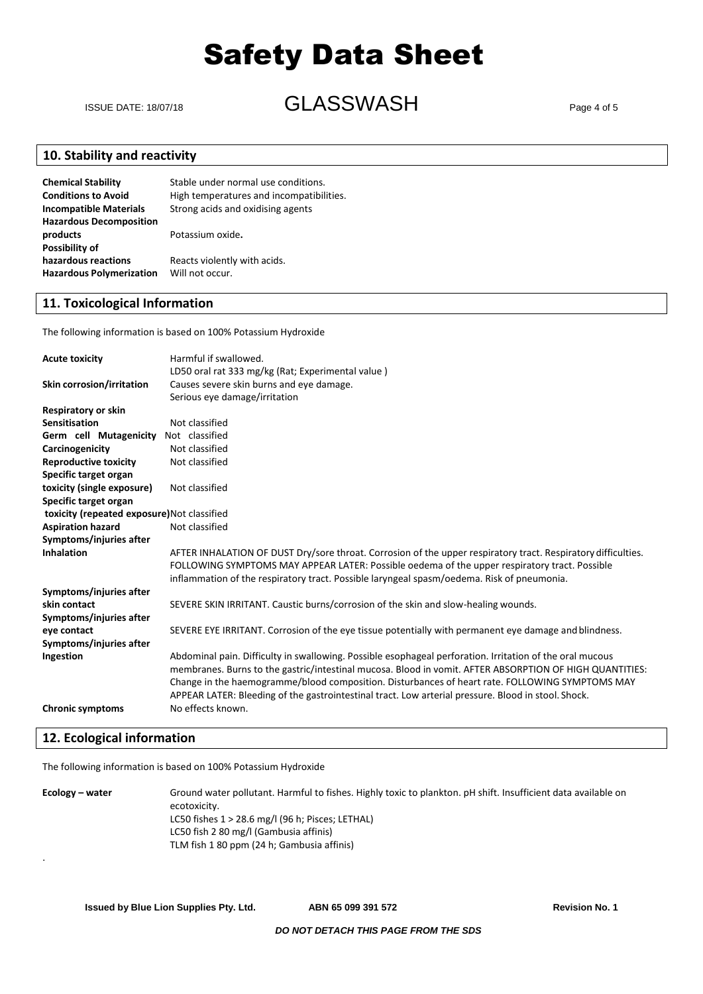ISSUE DATE: 18/07/18 **GLASSWASH** Page 4 of 5

### **10. Stability and reactivity**

| <b>Chemical Stability</b>       | Stable under normal use conditions.      |
|---------------------------------|------------------------------------------|
| <b>Conditions to Avoid</b>      | High temperatures and incompatibilities. |
| <b>Incompatible Materials</b>   | Strong acids and oxidising agents        |
| <b>Hazardous Decomposition</b>  |                                          |
| products                        | Potassium oxide.                         |
| Possibility of                  |                                          |
| hazardous reactions             | Reacts violently with acids.             |
| <b>Hazardous Polymerization</b> | Will not occur.                          |

### **11. Toxicological Information**

The following information is based on 100% Potassium Hydroxide

| <b>Acute toxicity</b>                       | Harmful if swallowed.                                                                                         |
|---------------------------------------------|---------------------------------------------------------------------------------------------------------------|
|                                             | LD50 oral rat 333 mg/kg (Rat; Experimental value)                                                             |
| Skin corrosion/irritation                   | Causes severe skin burns and eye damage.                                                                      |
|                                             | Serious eye damage/irritation                                                                                 |
| <b>Respiratory or skin</b>                  |                                                                                                               |
| <b>Sensitisation</b>                        | Not classified                                                                                                |
| Germ cell Mutagenicity                      | Not classified                                                                                                |
| Carcinogenicity                             | Not classified                                                                                                |
| <b>Reproductive toxicity</b>                | Not classified                                                                                                |
| Specific target organ                       |                                                                                                               |
| toxicity (single exposure)                  | Not classified                                                                                                |
| Specific target organ                       |                                                                                                               |
| toxicity (repeated exposure) Not classified |                                                                                                               |
| <b>Aspiration hazard</b>                    | Not classified                                                                                                |
| Symptoms/injuries after                     |                                                                                                               |
| <b>Inhalation</b>                           | AFTER INHALATION OF DUST Dry/sore throat. Corrosion of the upper respiratory tract. Respiratory difficulties. |
|                                             | FOLLOWING SYMPTOMS MAY APPEAR LATER: Possible oedema of the upper respiratory tract. Possible                 |
|                                             | inflammation of the respiratory tract. Possible laryngeal spasm/oedema. Risk of pneumonia.                    |
| Symptoms/injuries after                     |                                                                                                               |
| skin contact                                | SEVERE SKIN IRRITANT. Caustic burns/corrosion of the skin and slow-healing wounds.                            |
| Symptoms/injuries after                     |                                                                                                               |
| eye contact                                 | SEVERE EYE IRRITANT. Corrosion of the eye tissue potentially with permanent eye damage and blindness.         |
| Symptoms/injuries after                     |                                                                                                               |
| Ingestion                                   | Abdominal pain. Difficulty in swallowing. Possible esophageal perforation. Irritation of the oral mucous      |
|                                             | membranes. Burns to the gastric/intestinal mucosa. Blood in vomit. AFTER ABSORPTION OF HIGH QUANTITIES:       |
|                                             | Change in the haemogramme/blood composition. Disturbances of heart rate. FOLLOWING SYMPTOMS MAY               |
|                                             | APPEAR LATER: Bleeding of the gastrointestinal tract. Low arterial pressure. Blood in stool. Shock.           |
| <b>Chronic symptoms</b>                     | No effects known.                                                                                             |
|                                             |                                                                                                               |

#### **12. Ecological information**

.

The following information is based on 100% Potassium Hydroxide

**Ecology – water** Ground water pollutant. Harmful to fishes. Highly toxic to plankton. pH shift. Insufficient data available on ecotoxicity. LC50 fishes 1 > 28.6 mg/l (96 h; Pisces; LETHAL) LC50 fish 2 80 mg/l (Gambusia affinis) TLM fish 1 80 ppm (24 h; Gambusia affinis)